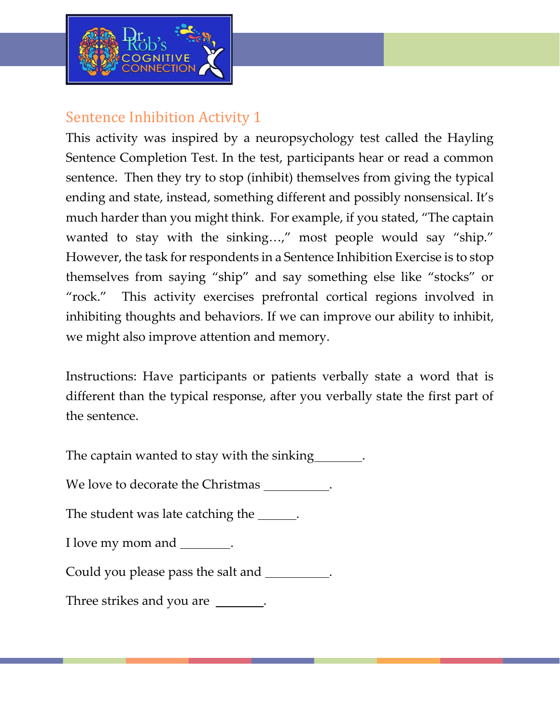

## Sentence Inhibition Activity 1

This activity was inspired by a neuropsychology test called the Hayling Sentence Completion Test. In the test, participants hear or read a common sentence. Then they try to stop (inhibit) themselves from giving the typical ending and state, instead, something different and possibly nonsensical. It's much harder than you might think. For example, if you stated, "The captain wanted to stay with the sinking...," most people would say "ship." However, the task for respondents in a Sentence Inhibition Exercise is to stop themselves from saying "ship" and say something else like "stocks" or "rock." This activity exercises prefrontal cortical regions involved in inhibiting thoughts and behaviors. If we can improve our ability to inhibit, we might also improve attention and memory.

Instructions: Have participants or patients verbally state a word that is different than the typical response, after you verbally state the first part of the sentence.

The captain wanted to stay with the sinking

We love to decorate the Christmas \_\_\_\_\_\_\_\_\_.

The student was late catching the \_\_\_\_\_\_.

I love my mom and \_\_\_\_\_\_\_.

Could you please pass the salt and .

Three strikes and you are \_\_\_\_\_\_\_.